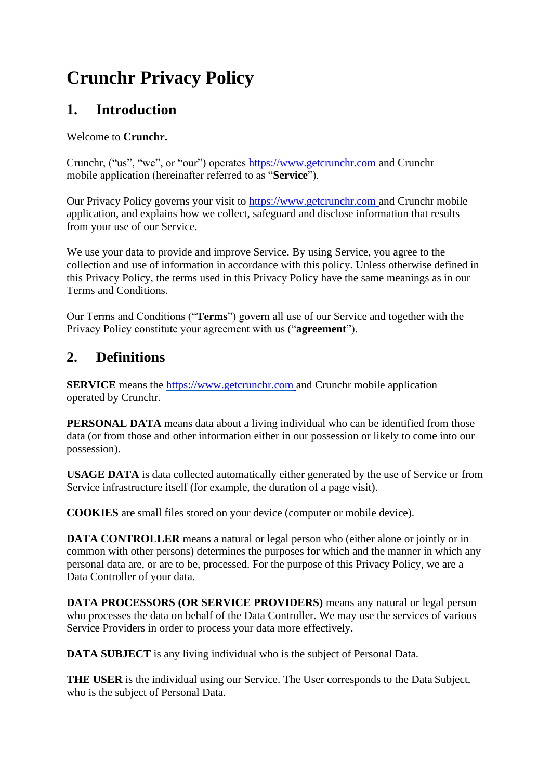# **Crunchr Privacy Policy**

## **1. Introduction**

#### Welcome to **Crunchr.**

Crunchr, ("us", "we", or "our") operates https://www.getcrunchr.com and Crunchr mobile application (hereinafter referred to as "**Service**").

Our Privacy Policy governs your visit to https://www.getcrunchr.com and Crunchr mobile application, and explains how we collect, safeguard and disclose information that results from your use of our Service.

We use your data to provide and improve Service. By using Service, you agree to the collection and use of information in accordance with this policy. Unless otherwise defined in this Privacy Policy, the terms used in this Privacy Policy have the same meanings as in our Terms and Conditions.

Our Terms and Conditions ("**Terms**") govern all use of our Service and together with the Privacy Policy constitute your agreement with us ("**agreement**").

# **2. Definitions**

**SERVICE** means the **https://www.getcrunchr.com** and Crunchr mobile application operated by Crunchr.

**PERSONAL DATA** means data about a living individual who can be identified from those data (or from those and other information either in our possession or likely to come into our possession).

**USAGE DATA** is data collected automatically either generated by the use of Service or from Service infrastructure itself (for example, the duration of a page visit).

**COOKIES** are small files stored on your device (computer or mobile device).

**DATA CONTROLLER** means a natural or legal person who (either alone or jointly or in common with other persons) determines the purposes for which and the manner in which any personal data are, or are to be, processed. For the purpose of this Privacy Policy, we are a Data Controller of your data.

**DATA PROCESSORS (OR SERVICE PROVIDERS)** means any natural or legal person who processes the data on behalf of the Data Controller. We may use the services of various Service Providers in order to process your data more effectively.

**DATA SUBJECT** is any living individual who is the subject of Personal Data.

**THE USER** is the individual using our Service. The User corresponds to the Data Subject, who is the subject of Personal Data.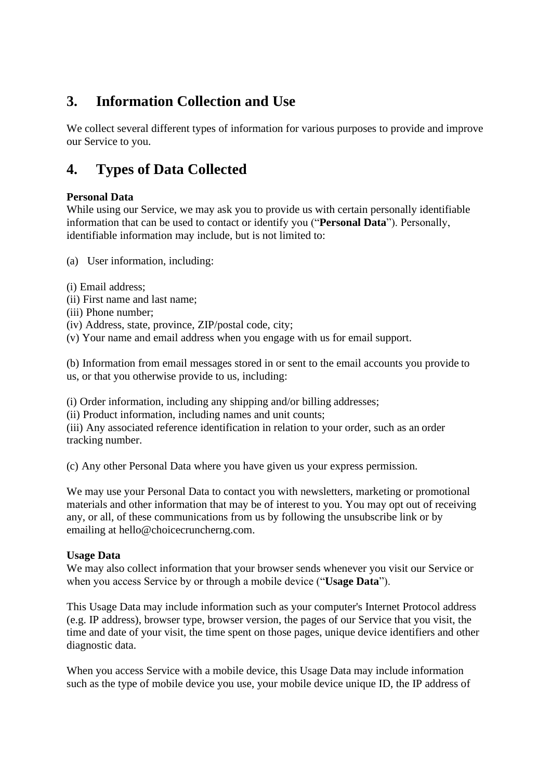# **3. Information Collection and Use**

We collect several different types of information for various purposes to provide and improve our Service to you.

## **4. Types of Data Collected**

#### **Personal Data**

While using our Service, we may ask you to provide us with certain personally identifiable information that can be used to contact or identify you ("**Personal Data**"). Personally, identifiable information may include, but is not limited to:

(a) User information, including:

- (i) Email address;
- (ii) First name and last name;
- (iii) Phone number;
- (iv) Address, state, province, ZIP/postal code, city;
- (v) Your name and email address when you engage with us for email support.

(b) Information from email messages stored in or sent to the email accounts you provide to us, or that you otherwise provide to us, including:

(i) Order information, including any shipping and/or billing addresses;

(ii) Product information, including names and unit counts;

(iii) Any associated reference identification in relation to your order, such as an order tracking number.

(c) Any other Personal Data where you have given us your express permission.

We may use your Personal Data to contact you with newsletters, marketing or promotional materials and other information that may be of interest to you. You may opt out of receiving any, or all, of these communications from us by following the unsubscribe link or by emailing [at hello@choicecruncherng.com.](mailto:hello@choicecruncherng.com)

#### **Usage Data**

We may also collect information that your browser sends whenever you visit our Service or when you access Service by or through a mobile device ("**Usage Data**").

This Usage Data may include information such as your computer's Internet Protocol address (e.g. IP address), browser type, browser version, the pages of our Service that you visit, the time and date of your visit, the time spent on those pages, unique device identifiers and other diagnostic data.

When you access Service with a mobile device, this Usage Data may include information such as the type of mobile device you use, your mobile device unique ID, the IP address of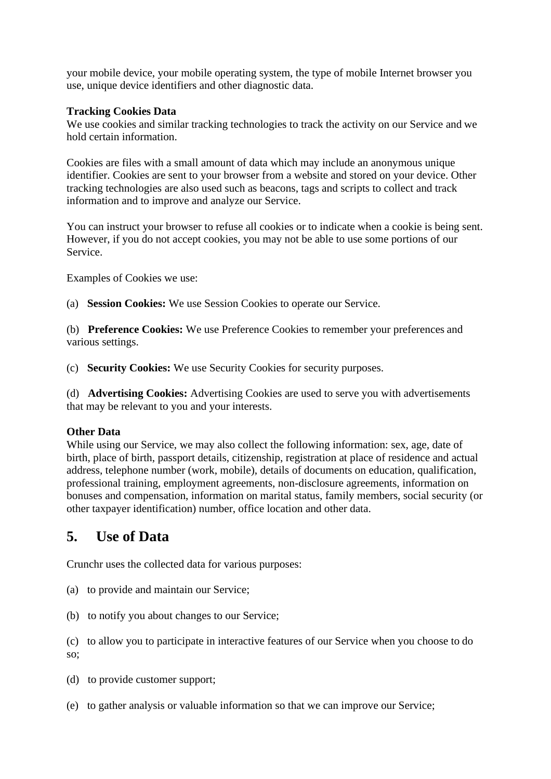your mobile device, your mobile operating system, the type of mobile Internet browser you use, unique device identifiers and other diagnostic data.

#### **Tracking Cookies Data**

We use cookies and similar tracking technologies to track the activity on our Service and we hold certain information.

Cookies are files with a small amount of data which may include an anonymous unique identifier. Cookies are sent to your browser from a website and stored on your device. Other tracking technologies are also used such as beacons, tags and scripts to collect and track information and to improve and analyze our Service.

You can instruct your browser to refuse all cookies or to indicate when a cookie is being sent. However, if you do not accept cookies, you may not be able to use some portions of our Service.

Examples of Cookies we use:

(a) **Session Cookies:** We use Session Cookies to operate our Service.

(b) **Preference Cookies:** We use Preference Cookies to remember your preferences and various settings.

(c) **Security Cookies:** We use Security Cookies for security purposes.

(d) **Advertising Cookies:** Advertising Cookies are used to serve you with advertisements that may be relevant to you and your interests.

#### **Other Data**

While using our Service, we may also collect the following information: sex, age, date of birth, place of birth, passport details, citizenship, registration at place of residence and actual address, telephone number (work, mobile), details of documents on education, qualification, professional training, employment agreements, non-disclosure agreements, information on bonuses and compensation, information on marital status, family members, social security (or other taxpayer identification) number, office location and other data.

### **5. Use of Data**

Crunchr uses the collected data for various purposes:

- (a) to provide and maintain our Service;
- (b) to notify you about changes to our Service;

(c) to allow you to participate in interactive features of our Service when you choose to do so;

- (d) to provide customer support;
- (e) to gather analysis or valuable information so that we can improve our Service;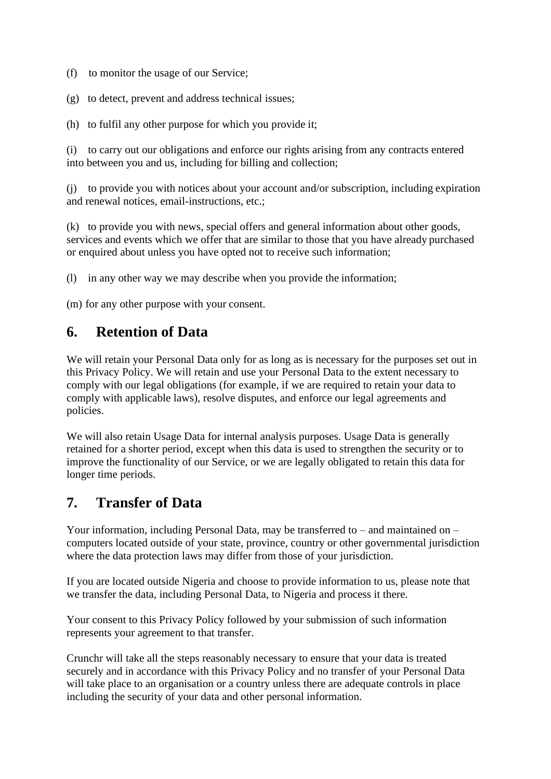- (f) to monitor the usage of our Service;
- (g) to detect, prevent and address technical issues;
- (h) to fulfil any other purpose for which you provide it;

(i) to carry out our obligations and enforce our rights arising from any contracts entered into between you and us, including for billing and collection;

(j) to provide you with notices about your account and/or subscription, including expiration and renewal notices, email-instructions, etc.;

(k) to provide you with news, special offers and general information about other goods, services and events which we offer that are similar to those that you have already purchased or enquired about unless you have opted not to receive such information;

(l) in any other way we may describe when you provide the information;

(m) for any other purpose with your consent.

### **6. Retention of Data**

We will retain your Personal Data only for as long as is necessary for the purposes set out in this Privacy Policy. We will retain and use your Personal Data to the extent necessary to comply with our legal obligations (for example, if we are required to retain your data to comply with applicable laws), resolve disputes, and enforce our legal agreements and policies.

We will also retain Usage Data for internal analysis purposes. Usage Data is generally retained for a shorter period, except when this data is used to strengthen the security or to improve the functionality of our Service, or we are legally obligated to retain this data for longer time periods.

### **7. Transfer of Data**

Your information, including Personal Data, may be transferred to – and maintained on – computers located outside of your state, province, country or other governmental jurisdiction where the data protection laws may differ from those of your jurisdiction.

If you are located outside Nigeria and choose to provide information to us, please note that we transfer the data, including Personal Data, to Nigeria and process it there.

Your consent to this Privacy Policy followed by your submission of such information represents your agreement to that transfer.

Crunchr will take all the steps reasonably necessary to ensure that your data is treated securely and in accordance with this Privacy Policy and no transfer of your Personal Data will take place to an organisation or a country unless there are adequate controls in place including the security of your data and other personal information.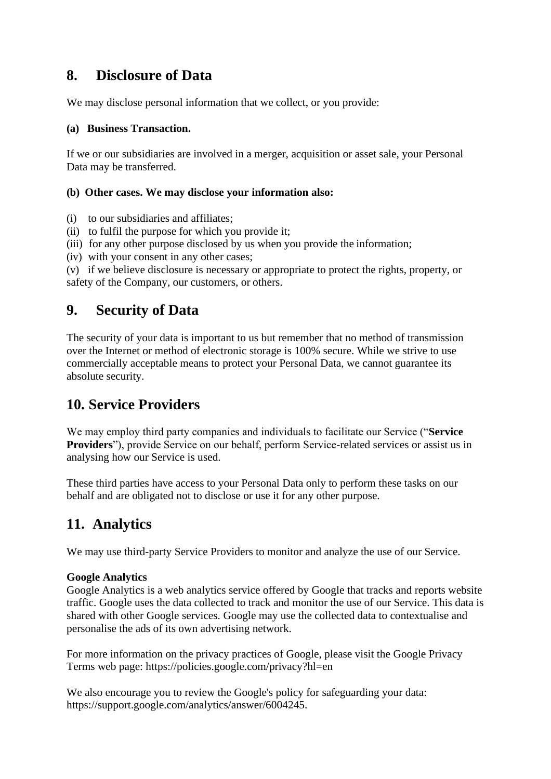### **8. Disclosure of Data**

We may disclose personal information that we collect, or you provide:

#### **(a) Business Transaction.**

If we or our subsidiaries are involved in a merger, acquisition or asset sale, your Personal Data may be transferred.

#### **(b) Other cases. We may disclose your information also:**

- (i) to our subsidiaries and affiliates;
- (ii) to fulfil the purpose for which you provide it;
- (iii) for any other purpose disclosed by us when you provide the information;
- (iv) with your consent in any other cases;

(v) if we believe disclosure is necessary or appropriate to protect the rights, property, or safety of the Company, our customers, or others.

### **9. Security of Data**

The security of your data is important to us but remember that no method of transmission over the Internet or method of electronic storage is 100% secure. While we strive to use commercially acceptable means to protect your Personal Data, we cannot guarantee its absolute security.

### **10. Service Providers**

We may employ third party companies and individuals to facilitate our Service ("**Service Providers**"), provide Service on our behalf, perform Service-related services or assist us in analysing how our Service is used.

These third parties have access to your Personal Data only to perform these tasks on our behalf and are obligated not to disclose or use it for any other purpose.

### **11. Analytics**

We may use third-party Service Providers to monitor and analyze the use of our Service.

#### **Google Analytics**

Google Analytics is a web analytics service offered by Google that tracks and reports website traffic. Google uses the data collected to track and monitor the use of our Service. This data is shared with other Google services. Google may use the collected data to contextualise and personalise the ads of its own advertising network.

For more information on the privacy practices of Google, please visit the Google Privacy Terms web page: https://policies.google.com/privacy?hl=en

We also encourage you to review the Google's policy for safeguarding your data: https://support.google.com/analytics/answer/6004245.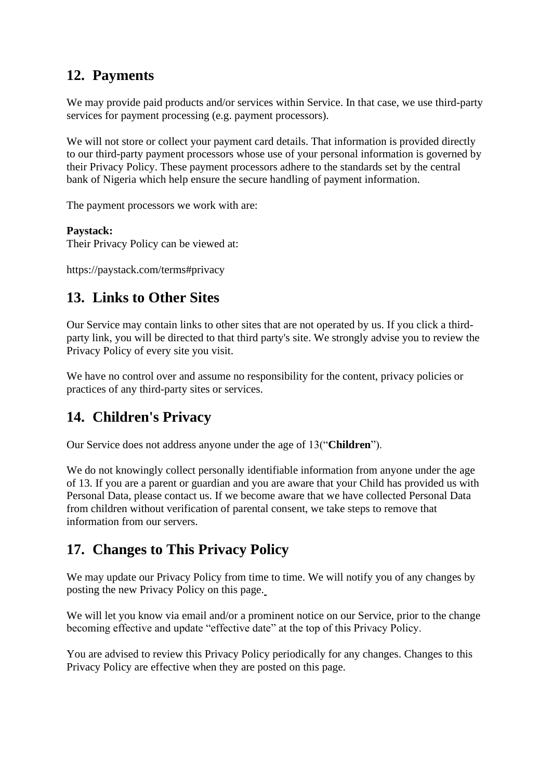### **12. Payments**

We may provide paid products and/or services within Service. In that case, we use third-party services for payment processing (e.g. payment processors).

We will not store or collect your payment card details. That information is provided directly to our third-party payment processors whose use of your personal information is governed by their Privacy Policy. These payment processors adhere to the standards set by the central bank of Nigeria which help ensure the secure handling of payment information.

The payment processors we work with are:

#### **Paystack:**

Their Privacy Policy can be viewed at:

https://paystack.com/terms#privacy

# **13. Links to Other Sites**

Our Service may contain links to other sites that are not operated by us. If you click a thirdparty link, you will be directed to that third party's site. We strongly advise you to review the Privacy Policy of every site you visit.

We have no control over and assume no responsibility for the content, privacy policies or practices of any third-party sites or services.

### **14. Children's Privacy**

Our Service does not address anyone under the age of 13("**Children**").

We do not knowingly collect personally identifiable information from anyone under the age of 13. If you are a parent or guardian and you are aware that your Child has provided us with Personal Data, please contact us. If we become aware that we have collected Personal Data from children without verification of parental consent, we take steps to remove that information from our servers.

### **17. Changes to This Privacy Policy**

We may update our Privacy Policy from time to time. We will notify you of any changes by posting the new Privacy Policy on this page.

We will let you know via email and/or a prominent notice on our Service, prior to the change becoming effective and update "effective date" at the top of this Privacy Policy.

You are advised to review this Privacy Policy periodically for any changes. Changes to this Privacy Policy are effective when they are posted on this page.